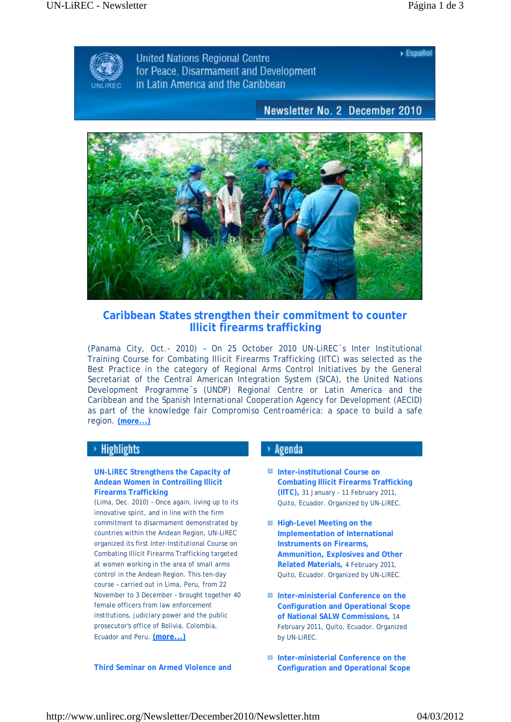$\triangleright$  Español



**United Nations Regional Centre** for Peace. Disarmament and Development in Latin America and the Caribbean

# Newsletter No. 2 December 2010



# **Caribbean States strengthen their commitment to counter Illicit firearms trafficking**

(Panama City, Oct.- 2010) – On 25 October 2010 UN-LiREC´s Inter Institutional Training Course for Combating Illicit Firearms Trafficking (IITC) was selected as the Best Practice in the category of Regional Arms Control Initiatives by the General Secretariat of the Central American Integration System (SICA), the United Nations Development Programme´s (UNDP) Regional Centre or Latin America and the Caribbean and the Spanish International Cooperation Agency for Development (AECID) as part of the knowledge fair *Compromiso Centroamérica*: a space to build a safe region. **(more...)**

# **Highlights**

### **UN-LiREC Strengthens the Capacity of Andean Women in Controlling Illicit Firearms Trafficking**

(Lima, Dec. 2010) – Once again, living up to its innovative spirit, and in line with the firm commitment to disarmament demonstrated by countries within the Andean Region, UN-LiREC organized its first Inter-Institutional Course on Combating Illicit Firearms Trafficking targeted at women working in the area of small arms control in the Andean Region. This ten-day course – carried out in Lima, Peru, from 22 November to 3 December - brought together 40 female officers from law enforcement institutions, judiciary power and the public prosecutor's office of Bolivia, Colombia, Ecuador and Peru. **(more...)**

# Agenda

- $I$  Inter-institutional Course on **Combating Illicit Firearms Trafficking (IITC),** 31 January - 11 February 2011, Quito, Ecuador. Organized by UN-LiREC.
- **High-Level Meeting on the Implementation of International Instruments on Firearms, Ammunition, Explosives and Other Related Materials,** 4 February 2011, Quito, Ecuador. Organized by UN-LiREC.
- **Inter-ministerial Conference on the Configuration and Operational Scope of National SALW Commissions,** 14 February 2011, Quito, Ecuador. Organized by UN-LiREC.
- **Inter-ministerial Conference on the Configuration and Operational Scope**

**Third Seminar on Armed Violence and**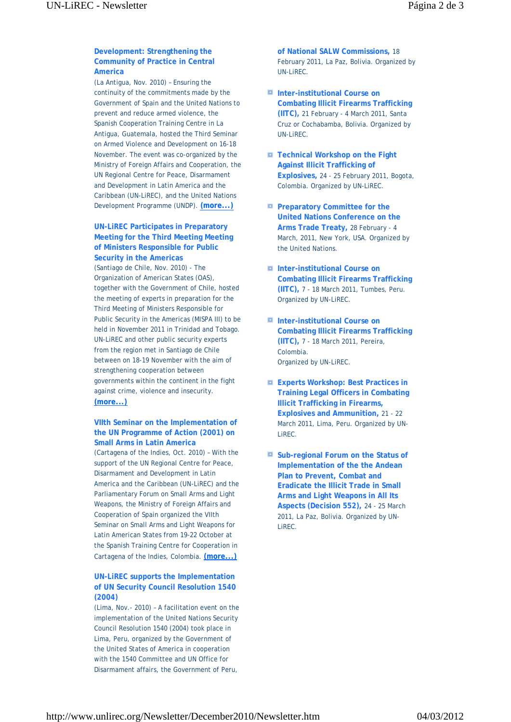## **Development: Strengthening the Community of Practice in Central America**

(La Antigua, Nov. 2010) – Ensuring the continuity of the commitments made by the Government of Spain and the United Nations to prevent and reduce armed violence, the Spanish Cooperation Training Centre in La Antigua, Guatemala, hosted the Third Seminar on Armed Violence and Development on 16-18 November. The event was co-organized by the Ministry of Foreign Affairs and Cooperation, the UN Regional Centre for Peace, Disarmament and Development in Latin America and the Caribbean (UN-LiREC), and the United Nations Development Programme (UNDP). **(more...)**

#### **UN-LiREC Participates in Preparatory Meeting for the Third Meeting Meeting of Ministers Responsible for Public Security in the Americas**

(Santiago de Chile, Nov. 2010) - The Organization of American States (OAS), together with the Government of Chile, hosted the meeting of experts in preparation for the Third Meeting of Ministers Responsible for Public Security in the Americas (MISPA III) to be held in November 2011 in Trinidad and Tobago. UN-LiREC and other public security experts from the region met in Santiago de Chile between on 18-19 November with the aim of strengthening cooperation between governments within the continent in the fight against crime, violence and insecurity. **(more...)**

#### **VIIth Seminar on the Implementation of the UN Programme of Action (2001) on Small Arms in Latin America**

(Cartagena of the Indies, Oct. 2010) – With the support of the UN Regional Centre for Peace, Disarmament and Development in Latin America and the Caribbean (UN-LiREC) and the Parliamentary Forum on Small Arms and Light Weapons, the Ministry of Foreign Affairs and Cooperation of Spain organized the VIIth Seminar on Small Arms and Light Weapons for Latin American States from 19-22 October at the Spanish Training Centre for Cooperation in Cartagena of the Indies, Colombia. **(more...)**

### **UN-LiREC supports the Implementation of UN Security Council Resolution 1540 (2004)**

(Lima, Nov.- 2010) – A facilitation event on the implementation of the United Nations Security Council Resolution 1540 (2004) took place in Lima, Peru, organized by the Government of the United States of America in cooperation with the 1540 Committee and UN Office for Disarmament affairs, the Government of Peru,

**of National SALW Commissions,** 18 February 2011, La Paz, Bolivia. Organized by UN-LiREC.

- $I$  Inter-institutional Course on **Combating Illicit Firearms Trafficking (IITC),** 21 February - 4 March 2011, Santa Cruz or Cochabamba, Bolivia. Organized by UN-LiREC.
- **Technical Workshop on the Fight Against Illicit Trafficking of Explosives,** 24 - 25 February 2011, Bogota, Colombia. Organized by UN-LiREC.
- **P Preparatory Committee for the United Nations Conference on the Arms Trade Treaty,** 28 February - 4 March, 2011, New York, USA. Organized by the United Nations.
- $I$  Inter-institutional Course on **Combating Illicit Firearms Trafficking (IITC),** 7 - 18 March 2011, Tumbes, Peru. Organized by UN-LiREC.
- $I$  Inter-institutional Course on **Combating Illicit Firearms Trafficking (IITC),** 7 - 18 March 2011, Pereira, Colombia. Organized by UN-LiREC.
- **Experts Workshop: Best Practices in Training Legal Officers in Combating Illicit Trafficking in Firearms, Explosives and Ammunition,** 21 - 22 March 2011, Lima, Peru. Organized by UN-LiREC.
- **Sub-regional Forum on the Status of Implementation of the the Andean Plan to Prevent, Combat and Eradicate the Illicit Trade in Small Arms and Light Weapons in All Its Aspects (Decision 552),** 24 - 25 March 2011, La Paz, Bolivia. Organized by UN-LiREC.